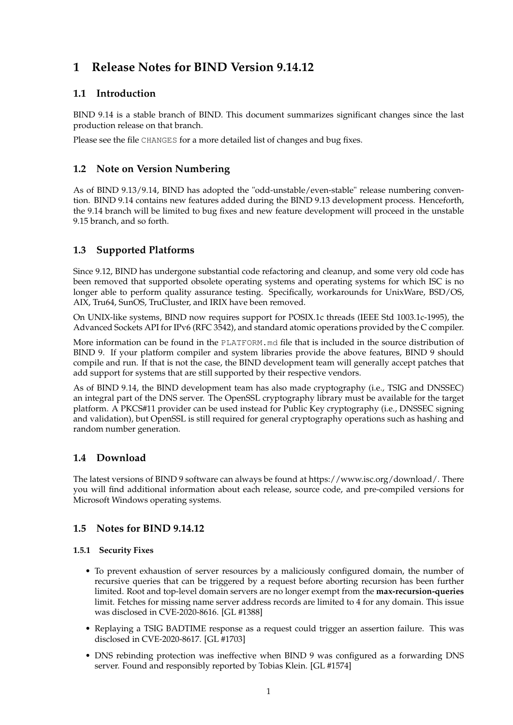# **1 Release Notes for BIND Version 9.14.12**

# **1.1 Introduction**

BIND 9.14 is a stable branch of BIND. This document summarizes significant changes since the last production release on that branch.

Please see the file CHANGES for a more detailed list of changes and bug fixes.

# **1.2 Note on Version Numbering**

As of BIND 9.13/9.14, BIND has adopted the "odd-unstable/even-stable" release numbering convention. BIND 9.14 contains new features added during the BIND 9.13 development process. Henceforth, the 9.14 branch will be limited to bug fixes and new feature development will proceed in the unstable 9.15 branch, and so forth.

# **1.3 Supported Platforms**

Since 9.12, BIND has undergone substantial code refactoring and cleanup, and some very old code has been removed that supported obsolete operating systems and operating systems for which ISC is no longer able to perform quality assurance testing. Specifically, workarounds for UnixWare, BSD/OS, AIX, Tru64, SunOS, TruCluster, and IRIX have been removed.

On UNIX-like systems, BIND now requires support for POSIX.1c threads (IEEE Std 1003.1c-1995), the Advanced Sockets API for IPv6 (RFC 3542), and standard atomic operations provided by the C compiler.

More information can be found in the PLATFORM.md file that is included in the source distribution of BIND 9. If your platform compiler and system libraries provide the above features, BIND 9 should compile and run. If that is not the case, the BIND development team will generally accept patches that add support for systems that are still supported by their respective vendors.

As of BIND 9.14, the BIND development team has also made cryptography (i.e., TSIG and DNSSEC) an integral part of the DNS server. The OpenSSL cryptography library must be available for the target platform. A PKCS#11 provider can be used instead for Public Key cryptography (i.e., DNSSEC signing and validation), but OpenSSL is still required for general cryptography operations such as hashing and random number generation.

# **1.4 Download**

The latest versions of BIND 9 software can always be found at https://www.isc.org/download/. There you will find additional information about each release, source code, and pre-compiled versions for Microsoft Windows operating systems.

# **1.5 Notes for BIND 9.14.12**

#### **1.5.1 Security Fixes**

- To prevent exhaustion of server resources by a maliciously configured domain, the number of recursive queries that can be triggered by a request before aborting recursion has been further limited. Root and top-level domain servers are no longer exempt from the **max-recursion-queries** limit. Fetches for missing name server address records are limited to 4 for any domain. This issue was disclosed in CVE-2020-8616. [GL #1388]
- Replaying a TSIG BADTIME response as a request could trigger an assertion failure. This was disclosed in CVE-2020-8617. [GL #1703]
- DNS rebinding protection was ineffective when BIND 9 was configured as a forwarding DNS server. Found and responsibly reported by Tobias Klein. [GL #1574]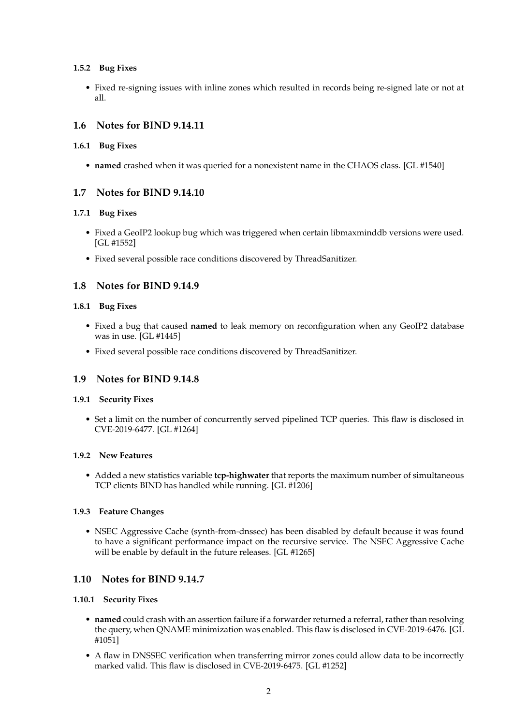#### **1.5.2 Bug Fixes**

• Fixed re-signing issues with inline zones which resulted in records being re-signed late or not at all.

# **1.6 Notes for BIND 9.14.11**

#### **1.6.1 Bug Fixes**

• **named** crashed when it was queried for a nonexistent name in the CHAOS class. [GL #1540]

### **1.7 Notes for BIND 9.14.10**

#### **1.7.1 Bug Fixes**

- Fixed a GeoIP2 lookup bug which was triggered when certain libmaxminddb versions were used. [GL #1552]
- Fixed several possible race conditions discovered by ThreadSanitizer.

# **1.8 Notes for BIND 9.14.9**

#### **1.8.1 Bug Fixes**

- Fixed a bug that caused **named** to leak memory on reconfiguration when any GeoIP2 database was in use. [GL #1445]
- Fixed several possible race conditions discovered by ThreadSanitizer.

# **1.9 Notes for BIND 9.14.8**

#### **1.9.1 Security Fixes**

• Set a limit on the number of concurrently served pipelined TCP queries. This flaw is disclosed in CVE-2019-6477. [GL #1264]

#### **1.9.2 New Features**

• Added a new statistics variable **tcp-highwater** that reports the maximum number of simultaneous TCP clients BIND has handled while running. [GL #1206]

#### **1.9.3 Feature Changes**

• NSEC Aggressive Cache (synth-from-dnssec) has been disabled by default because it was found to have a significant performance impact on the recursive service. The NSEC Aggressive Cache will be enable by default in the future releases. [GL #1265]

# **1.10 Notes for BIND 9.14.7**

#### **1.10.1 Security Fixes**

- **named** could crash with an assertion failure if a forwarder returned a referral, rather than resolving the query, when QNAME minimization was enabled. This flaw is disclosed in CVE-2019-6476. [GL #1051]
- A flaw in DNSSEC verification when transferring mirror zones could allow data to be incorrectly marked valid. This flaw is disclosed in CVE-2019-6475. [GL #1252]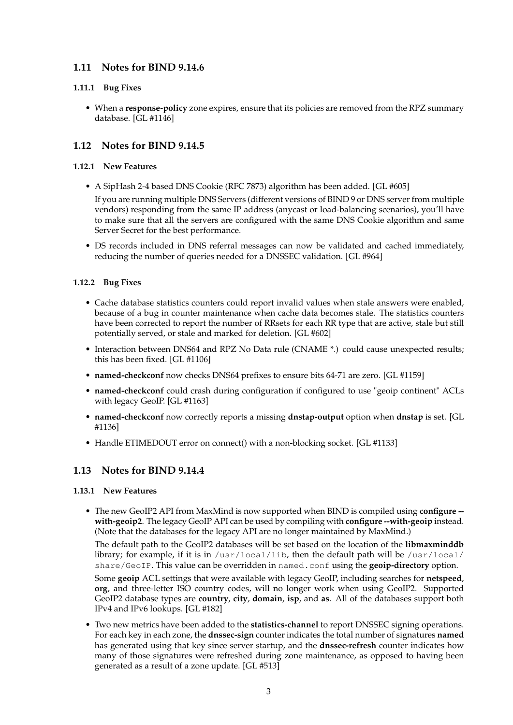# **1.11 Notes for BIND 9.14.6**

#### **1.11.1 Bug Fixes**

• When a **response-policy** zone expires, ensure that its policies are removed from the RPZ summary database. [GL #1146]

# **1.12 Notes for BIND 9.14.5**

#### **1.12.1 New Features**

• A SipHash 2-4 based DNS Cookie (RFC 7873) algorithm has been added. [GL #605]

If you are running multiple DNS Servers (different versions of BIND 9 or DNS server from multiple vendors) responding from the same IP address (anycast or load-balancing scenarios), you'll have to make sure that all the servers are configured with the same DNS Cookie algorithm and same Server Secret for the best performance.

• DS records included in DNS referral messages can now be validated and cached immediately, reducing the number of queries needed for a DNSSEC validation. [GL #964]

#### **1.12.2 Bug Fixes**

- Cache database statistics counters could report invalid values when stale answers were enabled, because of a bug in counter maintenance when cache data becomes stale. The statistics counters have been corrected to report the number of RRsets for each RR type that are active, stale but still potentially served, or stale and marked for deletion. [GL #602]
- Interaction between DNS64 and RPZ No Data rule (CNAME \*.) could cause unexpected results; this has been fixed. [GL #1106]
- **named-checkconf** now checks DNS64 prefixes to ensure bits 64-71 are zero. [GL #1159]
- **named-checkconf** could crash during configuration if configured to use "geoip continent" ACLs with legacy GeoIP. [GL #1163]
- **named-checkconf** now correctly reports a missing **dnstap-output** option when **dnstap** is set. [GL #1136]
- Handle ETIMEDOUT error on connect() with a non-blocking socket. [GL #1133]

# **1.13 Notes for BIND 9.14.4**

#### **1.13.1 New Features**

• The new GeoIP2 API from MaxMind is now supported when BIND is compiled using **configure - with-geoip2**. The legacy GeoIP API can be used by compiling with **configure --with-geoip** instead. (Note that the databases for the legacy API are no longer maintained by MaxMind.)

The default path to the GeoIP2 databases will be set based on the location of the **libmaxminddb** library; for example, if it is in  $/$ usr $/$ local $/$ lib, then the default path will be  $/$ usr $/$ local $/$ share/GeoIP. This value can be overridden in named.conf using the **geoip-directory** option.

Some **geoip** ACL settings that were available with legacy GeoIP, including searches for **netspeed**, **org**, and three-letter ISO country codes, will no longer work when using GeoIP2. Supported GeoIP2 database types are **country**, **city**, **domain**, **isp**, and **as**. All of the databases support both IPv4 and IPv6 lookups. [GL #182]

• Two new metrics have been added to the **statistics-channel** to report DNSSEC signing operations. For each key in each zone, the **dnssec-sign** counter indicates the total number of signatures **named** has generated using that key since server startup, and the **dnssec-refresh** counter indicates how many of those signatures were refreshed during zone maintenance, as opposed to having been generated as a result of a zone update. [GL #513]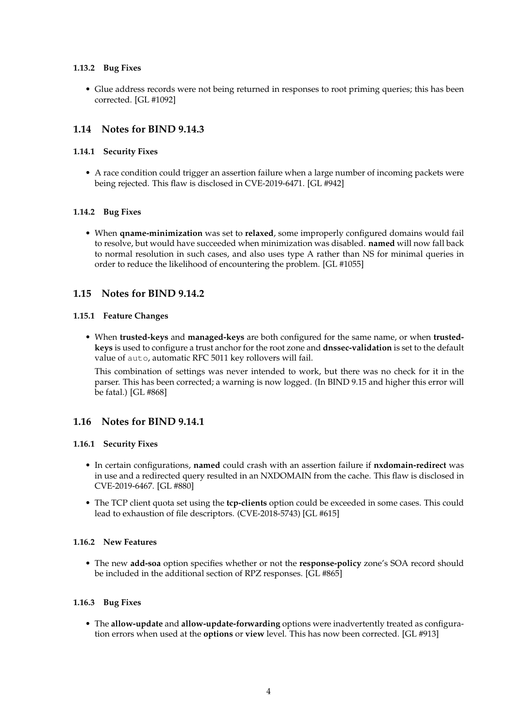#### **1.13.2 Bug Fixes**

• Glue address records were not being returned in responses to root priming queries; this has been corrected. [GL #1092]

# **1.14 Notes for BIND 9.14.3**

#### **1.14.1 Security Fixes**

• A race condition could trigger an assertion failure when a large number of incoming packets were being rejected. This flaw is disclosed in CVE-2019-6471. [GL #942]

#### **1.14.2 Bug Fixes**

• When **qname-minimization** was set to **relaxed**, some improperly configured domains would fail to resolve, but would have succeeded when minimization was disabled. **named** will now fall back to normal resolution in such cases, and also uses type A rather than NS for minimal queries in order to reduce the likelihood of encountering the problem. [GL #1055]

### **1.15 Notes for BIND 9.14.2**

#### **1.15.1 Feature Changes**

• When **trusted-keys** and **managed-keys** are both configured for the same name, or when **trustedkeys** is used to configure a trust anchor for the root zone and **dnssec-validation** is set to the default value of auto, automatic RFC 5011 key rollovers will fail.

This combination of settings was never intended to work, but there was no check for it in the parser. This has been corrected; a warning is now logged. (In BIND 9.15 and higher this error will be fatal.) [GL #868]

# **1.16 Notes for BIND 9.14.1**

#### **1.16.1 Security Fixes**

- In certain configurations, **named** could crash with an assertion failure if **nxdomain-redirect** was in use and a redirected query resulted in an NXDOMAIN from the cache. This flaw is disclosed in CVE-2019-6467. [GL #880]
- The TCP client quota set using the **tcp-clients** option could be exceeded in some cases. This could lead to exhaustion of file descriptors. (CVE-2018-5743) [GL #615]

#### **1.16.2 New Features**

• The new **add-soa** option specifies whether or not the **response-policy** zone's SOA record should be included in the additional section of RPZ responses. [GL #865]

#### **1.16.3 Bug Fixes**

• The **allow-update** and **allow-update-forwarding** options were inadvertently treated as configuration errors when used at the **options** or **view** level. This has now been corrected. [GL #913]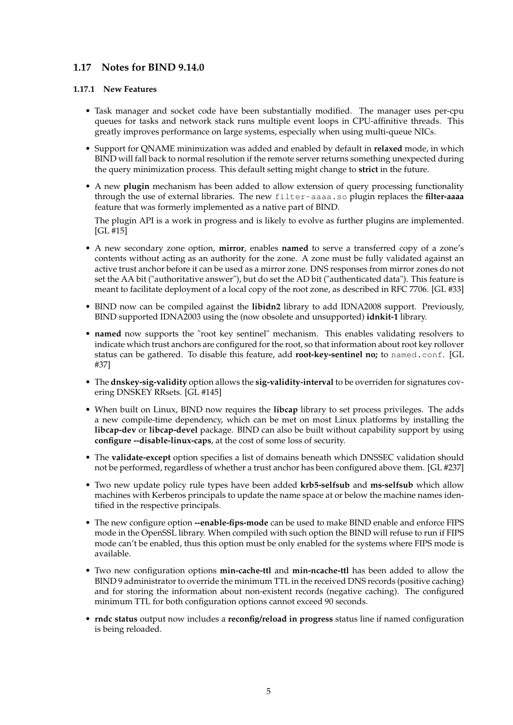## **1.17 Notes for BIND 9.14.0**

#### **1.17.1 New Features**

- Task manager and socket code have been substantially modified. The manager uses per-cpu queues for tasks and network stack runs multiple event loops in CPU-affinitive threads. This greatly improves performance on large systems, especially when using multi-queue NICs.
- Support for QNAME minimization was added and enabled by default in **relaxed** mode, in which BIND will fall back to normal resolution if the remote server returns something unexpected during the query minimization process. This default setting might change to **strict** in the future.
- A new **plugin** mechanism has been added to allow extension of query processing functionality through the use of external libraries. The new filter-aaaa.so plugin replaces the **filter-aaaa** feature that was formerly implemented as a native part of BIND.

The plugin API is a work in progress and is likely to evolve as further plugins are implemented. [GL #15]

- A new secondary zone option, **mirror**, enables **named** to serve a transferred copy of a zone's contents without acting as an authority for the zone. A zone must be fully validated against an active trust anchor before it can be used as a mirror zone. DNS responses from mirror zones do not set the AA bit ("authoritative answer"), but do set the AD bit ("authenticated data"). This feature is meant to facilitate deployment of a local copy of the root zone, as described in RFC 7706. [GL #33]
- BIND now can be compiled against the **libidn2** library to add IDNA2008 support. Previously, BIND supported IDNA2003 using the (now obsolete and unsupported) **idnkit-1** library.
- **named** now supports the "root key sentinel" mechanism. This enables validating resolvers to indicate which trust anchors are configured for the root, so that information about root key rollover status can be gathered. To disable this feature, add **root-key-sentinel no;** to named.conf. [GL #37]
- The **dnskey-sig-validity** option allows the **sig-validity-interval** to be overriden for signatures covering DNSKEY RRsets. [GL #145]
- When built on Linux, BIND now requires the **libcap** library to set process privileges. The adds a new compile-time dependency, which can be met on most Linux platforms by installing the **libcap-dev** or **libcap-devel** package. BIND can also be built without capability support by using **configure --disable-linux-caps**, at the cost of some loss of security.
- The **validate-except** option specifies a list of domains beneath which DNSSEC validation should not be performed, regardless of whether a trust anchor has been configured above them. [GL #237]
- Two new update policy rule types have been added **krb5-selfsub** and **ms-selfsub** which allow machines with Kerberos principals to update the name space at or below the machine names identified in the respective principals.
- The new configure option **--enable-fips-mode** can be used to make BIND enable and enforce FIPS mode in the OpenSSL library. When compiled with such option the BIND will refuse to run if FIPS mode can't be enabled, thus this option must be only enabled for the systems where FIPS mode is available.
- Two new configuration options **min-cache-ttl** and **min-ncache-ttl** has been added to allow the BIND 9 administrator to override the minimum TTL in the received DNS records (positive caching) and for storing the information about non-existent records (negative caching). The configured minimum TTL for both configuration options cannot exceed 90 seconds.
- **rndc status** output now includes a **reconfig/reload in progress** status line if named configuration is being reloaded.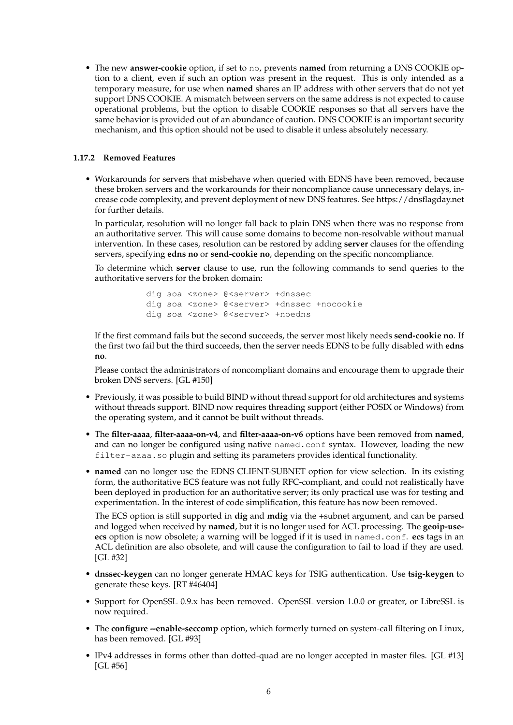• The new **answer-cookie** option, if set to no, prevents **named** from returning a DNS COOKIE option to a client, even if such an option was present in the request. This is only intended as a temporary measure, for use when **named** shares an IP address with other servers that do not yet support DNS COOKIE. A mismatch between servers on the same address is not expected to cause operational problems, but the option to disable COOKIE responses so that all servers have the same behavior is provided out of an abundance of caution. DNS COOKIE is an important security mechanism, and this option should not be used to disable it unless absolutely necessary.

#### **1.17.2 Removed Features**

• Workarounds for servers that misbehave when queried with EDNS have been removed, because these broken servers and the workarounds for their noncompliance cause unnecessary delays, increase code complexity, and prevent deployment of new DNS features. See https://dnsflagday.net for further details.

In particular, resolution will no longer fall back to plain DNS when there was no response from an authoritative server. This will cause some domains to become non-resolvable without manual intervention. In these cases, resolution can be restored by adding **server** clauses for the offending servers, specifying **edns no** or **send-cookie no**, depending on the specific noncompliance.

To determine which **server** clause to use, run the following commands to send queries to the authoritative servers for the broken domain:

> dig soa <zone> @<server> +dnssec dig soa <zone> @<server> +dnssec +nocookie dig soa <zone> @<server> +noedns

If the first command fails but the second succeeds, the server most likely needs **send-cookie no**. If the first two fail but the third succeeds, then the server needs EDNS to be fully disabled with **edns no**.

Please contact the administrators of noncompliant domains and encourage them to upgrade their broken DNS servers. [GL #150]

- Previously, it was possible to build BIND without thread support for old architectures and systems without threads support. BIND now requires threading support (either POSIX or Windows) from the operating system, and it cannot be built without threads.
- The **filter-aaaa**, **filter-aaaa-on-v4**, and **filter-aaaa-on-v6** options have been removed from **named**, and can no longer be configured using native named.conf syntax. However, loading the new filter-aaaa.so plugin and setting its parameters provides identical functionality.
- **named** can no longer use the EDNS CLIENT-SUBNET option for view selection. In its existing form, the authoritative ECS feature was not fully RFC-compliant, and could not realistically have been deployed in production for an authoritative server; its only practical use was for testing and experimentation. In the interest of code simplification, this feature has now been removed.

The ECS option is still supported in **dig** and **mdig** via the +subnet argument, and can be parsed and logged when received by **named**, but it is no longer used for ACL processing. The **geoip-useecs** option is now obsolete; a warning will be logged if it is used in named.conf. **ecs** tags in an ACL definition are also obsolete, and will cause the configuration to fail to load if they are used. [GL #32]

- **dnssec-keygen** can no longer generate HMAC keys for TSIG authentication. Use **tsig-keygen** to generate these keys. [RT #46404]
- Support for OpenSSL 0.9.x has been removed. OpenSSL version 1.0.0 or greater, or LibreSSL is now required.
- The **configure --enable-seccomp** option, which formerly turned on system-call filtering on Linux, has been removed. [GL #93]
- IPv4 addresses in forms other than dotted-quad are no longer accepted in master files. [GL #13] [GL #56]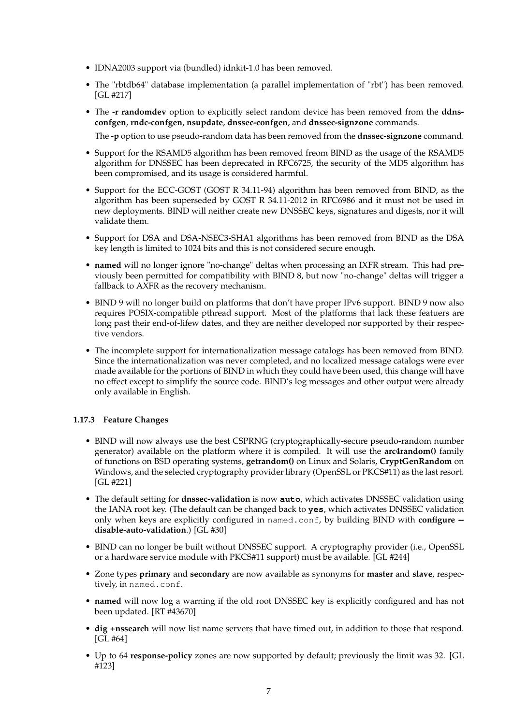- IDNA2003 support via (bundled) idnkit-1.0 has been removed.
- The "rbtdb64" database implementation (a parallel implementation of "rbt") has been removed. [GL #217]
- The **-r randomdev** option to explicitly select random device has been removed from the **ddnsconfgen**, **rndc-confgen**, **nsupdate**, **dnssec-confgen**, and **dnssec-signzone** commands.

The **-p** option to use pseudo-random data has been removed from the **dnssec-signzone** command.

- Support for the RSAMD5 algorithm has been removed freom BIND as the usage of the RSAMD5 algorithm for DNSSEC has been deprecated in RFC6725, the security of the MD5 algorithm has been compromised, and its usage is considered harmful.
- Support for the ECC-GOST (GOST R 34.11-94) algorithm has been removed from BIND, as the algorithm has been superseded by GOST R 34.11-2012 in RFC6986 and it must not be used in new deployments. BIND will neither create new DNSSEC keys, signatures and digests, nor it will validate them.
- Support for DSA and DSA-NSEC3-SHA1 algorithms has been removed from BIND as the DSA key length is limited to 1024 bits and this is not considered secure enough.
- **named** will no longer ignore "no-change" deltas when processing an IXFR stream. This had previously been permitted for compatibility with BIND 8, but now "no-change" deltas will trigger a fallback to AXFR as the recovery mechanism.
- BIND 9 will no longer build on platforms that don't have proper IPv6 support. BIND 9 now also requires POSIX-compatible pthread support. Most of the platforms that lack these featuers are long past their end-of-lifew dates, and they are neither developed nor supported by their respective vendors.
- The incomplete support for internationalization message catalogs has been removed from BIND. Since the internationalization was never completed, and no localized message catalogs were ever made available for the portions of BIND in which they could have been used, this change will have no effect except to simplify the source code. BIND's log messages and other output were already only available in English.

#### **1.17.3 Feature Changes**

- BIND will now always use the best CSPRNG (cryptographically-secure pseudo-random number generator) available on the platform where it is compiled. It will use the **arc4random()** family of functions on BSD operating systems, **getrandom()** on Linux and Solaris, **CryptGenRandom** on Windows, and the selected cryptography provider library (OpenSSL or PKCS#11) as the last resort. [GL #221]
- The default setting for **dnssec-validation** is now **auto**, which activates DNSSEC validation using the IANA root key. (The default can be changed back to **yes**, which activates DNSSEC validation only when keys are explicitly configured in named.conf, by building BIND with **configure - disable-auto-validation**.) [GL #30]
- BIND can no longer be built without DNSSEC support. A cryptography provider (i.e., OpenSSL or a hardware service module with PKCS#11 support) must be available. [GL #244]
- Zone types **primary** and **secondary** are now available as synonyms for **master** and **slave**, respectively, in named.conf.
- **named** will now log a warning if the old root DNSSEC key is explicitly configured and has not been updated. [RT #43670]
- **dig +nssearch** will now list name servers that have timed out, in addition to those that respond. [GL #64]
- Up to 64 **response-policy** zones are now supported by default; previously the limit was 32. [GL #123]